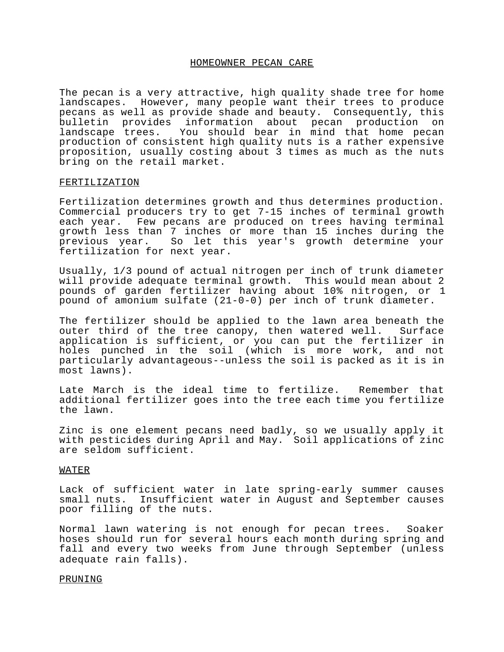### HOMEOWNER PECAN CARE

The pecan is a very attractive, high quality shade tree for home landscapes. However, many people want their trees to produce pecans as well as provide shade and beauty. Consequently, this bulletin provides information about pecan production on landscape trees. You should bear in mind that home pecan production of consistent high quality nuts is a rather expensive proposition, usually costing about 3 times as much as the nuts bring on the retail market.

#### FERTILIZATION

Fertilization determines growth and thus determines production. Commercial producers try to get 7-15 inches of terminal growth each year. Few pecans are produced on trees having terminal growth less than 7 inches or more than 15 inches during the previous year. So let this year's growth determine your fertilization for next year.

Usually, 1/3 pound of actual nitrogen per inch of trunk diameter will provide adequate terminal growth. This would mean about 2 pounds of garden fertilizer having about 10% nitrogen, or 1 pound of amonium sulfate (21-0-0) per inch of trunk diameter.

The fertilizer should be applied to the lawn area beneath the outer third of the tree canopy, then watered well. Surface application is sufficient, or you can put the fertilizer in holes punched in the soil (which is more work, and not particularly advantageous--unless the soil is packed as it is in most lawns).

Late March is the ideal time to fertilize. Remember that additional fertilizer goes into the tree each time you fertilize the lawn.

Zinc is one element pecans need badly, so we usually apply it with pesticides during April and May. Soil applications of zinc are seldom sufficient.

# WATER

Lack of sufficient water in late spring-early summer causes small nuts. Insufficient water in August and September causes poor filling of the nuts.

Normal lawn watering is not enough for pecan trees. Soaker hoses should run for several hours each month during spring and fall and every two weeks from June through September (unless adequate rain falls).

### PRUNING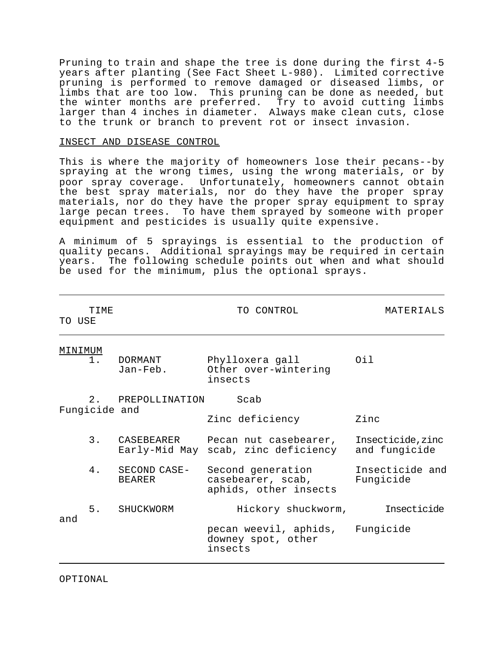Pruning to train and shape the tree is done during the first 4-5 years after planting (See Fact Sheet L-980). Limited corrective pruning is performed to remove damaged or diseased limbs, or limbs that are too low. This pruning can be done as needed, but the winter months are preferred. Try to avoid cutting limbs larger than 4 inches in diameter. Always make clean cuts, close to the trunk or branch to prevent rot or insect invasion.

## INSECT AND DISEASE CONTROL

This is where the majority of homeowners lose their pecans--by spraying at the wrong times, using the wrong materials, or by poor spray coverage. Unfortunately, homeowners cannot obtain the best spray materials, nor do they have the proper spray materials, nor do they have the proper spray equipment to spray large pecan trees. To have them sprayed by someone with proper equipment and pesticides is usually quite expensive.

A minimum of 5 sprayings is essential to the production of quality pecans. Additional sprayings may be required in certain years. The following schedule points out when and what should be used for the minimum, plus the optional sprays.

|     | <b>TTME</b><br>TO USE |                               | TO CONTROL                                                                 | MATERIALS                          |
|-----|-----------------------|-------------------------------|----------------------------------------------------------------------------|------------------------------------|
|     | MINIMUM<br>1.         | DORMANT<br>Jan-Feb.           | Phylloxera gall<br>Other over-wintering<br>insects                         | Oi 1                               |
|     | Fungicide and         | 2. PREPOLLINATION             | Scab<br>Zinc deficiency                                                    | Zinc                               |
|     |                       |                               | 3. CASEBEARER Pecan nut casebearer,<br>Early-Mid May scab, zinc deficiency | Insecticide, zinc<br>and fungicide |
|     | 4.                    | SECOND CASE-<br><b>BEARER</b> | Second generation<br>casebearer, scab,<br>aphids, other insects            | Insecticide and<br>Fungicide       |
| and |                       | 5. SHUCKWORM                  | Hickory shuckworm,                                                         | Insecticide                        |
|     |                       |                               | pecan weevil, aphids, Fungicide<br>downey spot, other<br>insects           |                                    |